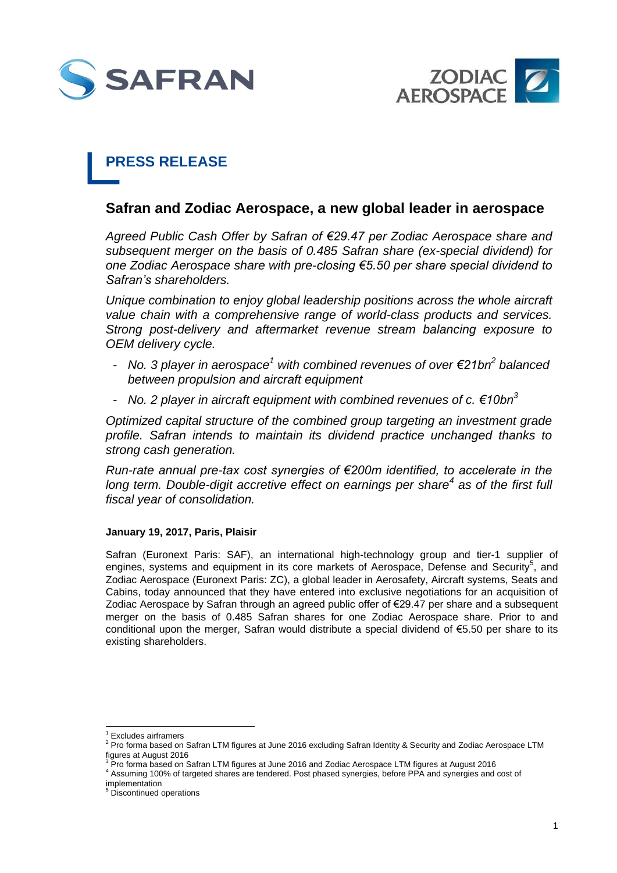



# **PRESS RELEASE**

## **Safran and Zodiac Aerospace, a new global leader in aerospace**

*Agreed Public Cash Offer by Safran of €29.47 per Zodiac Aerospace share and subsequent merger on the basis of 0.485 Safran share (ex-special dividend) for one Zodiac Aerospace share with pre-closing €5.50 per share special dividend to Safran's shareholders.*

*Unique combination to enjoy global leadership positions across the whole aircraft value chain with a comprehensive range of world-class products and services. Strong post-delivery and aftermarket revenue stream balancing exposure to OEM delivery cycle.*

- *No. 3 player in aerospace<sup>1</sup> with combined revenues of over €21bn<sup>2</sup> balanced between propulsion and aircraft equipment*
- *No. 2 player in aircraft equipment with combined revenues of c. €10bn<sup>3</sup>*

*Optimized capital structure of the combined group targeting an investment grade profile. Safran intends to maintain its dividend practice unchanged thanks to strong cash generation.*

*Run-rate annual pre-tax cost synergies of €200m identified, to accelerate in the long term. Double-digit accretive effect on earnings per share<sup>4</sup> as of the first full fiscal year of consolidation.*

### **January 19, 2017, Paris, Plaisir**

Safran (Euronext Paris: SAF), an international high-technology group and tier-1 supplier of engines, systems and equipment in its core markets of Aerospace, Defense and Security<sup>5</sup>, and Zodiac Aerospace (Euronext Paris: ZC), a global leader in Aerosafety, Aircraft systems, Seats and Cabins, today announced that they have entered into exclusive negotiations for an acquisition of Zodiac Aerospace by Safran through an agreed public offer of €29.47 per share and a subsequent merger on the basis of 0.485 Safran shares for one Zodiac Aerospace share. Prior to and conditional upon the merger, Safran would distribute a special dividend of €5.50 per share to its existing shareholders.

<sup>-</sup>1 Excludes airframers

<sup>&</sup>lt;sup>2</sup> Pro forma based on Safran LTM figures at June 2016 excluding Safran Identity & Security and Zodiac Aerospace LTM figures at August 2016

 $^3$  Pro forma based on Safran LTM figures at June 2016 and Zodiac Aerospace LTM figures at August 2016

<sup>4</sup> Assuming 100% of targeted shares are tendered. Post phased synergies, before PPA and synergies and cost of implementation

<sup>&</sup>lt;sup>5</sup> Discontinued operations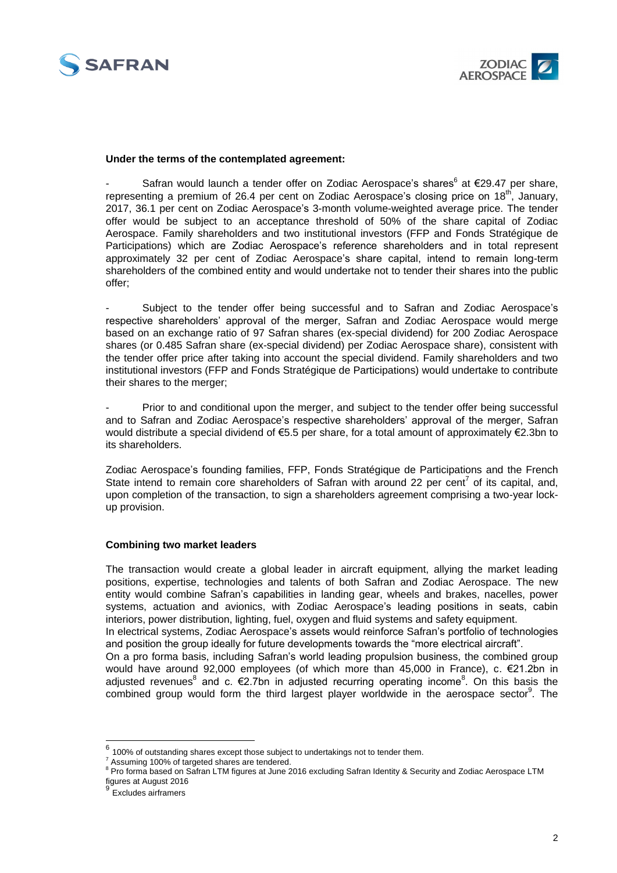



#### **Under the terms of the contemplated agreement:**

- Safran would launch a tender offer on Zodiac Aerospace's shares $^6$  at €29.47 per share, representing a premium of 26.4 per cent on Zodiac Aerospace's closing price on 18<sup>th</sup>, January, 2017, 36.1 per cent on Zodiac Aerospace's 3-month volume-weighted average price. The tender offer would be subject to an acceptance threshold of 50% of the share capital of Zodiac Aerospace. Family shareholders and two institutional investors (FFP and Fonds Stratégique de Participations) which are Zodiac Aerospace's reference shareholders and in total represent approximately 32 per cent of Zodiac Aerospace's share capital, intend to remain long-term shareholders of the combined entity and would undertake not to tender their shares into the public offer;

- Subject to the tender offer being successful and to Safran and Zodiac Aerospace's respective shareholders' approval of the merger, Safran and Zodiac Aerospace would merge based on an exchange ratio of 97 Safran shares (ex-special dividend) for 200 Zodiac Aerospace shares (or 0.485 Safran share (ex-special dividend) per Zodiac Aerospace share), consistent with the tender offer price after taking into account the special dividend. Family shareholders and two institutional investors (FFP and Fonds Stratégique de Participations) would undertake to contribute their shares to the merger;

Prior to and conditional upon the merger, and subject to the tender offer being successful and to Safran and Zodiac Aerospace's respective shareholders' approval of the merger, Safran would distribute a special dividend of €5.5 per share, for a total amount of approximately €2.3bn to its shareholders.

Zodiac Aerospace's founding families, FFP, Fonds Stratégique de Participations and the French State intend to remain core shareholders of Safran with around 22 per cent<sup>7</sup> of its capital, and, upon completion of the transaction, to sign a shareholders agreement comprising a two-year lockup provision.

#### **Combining two market leaders**

The transaction would create a global leader in aircraft equipment, allying the market leading positions, expertise, technologies and talents of both Safran and Zodiac Aerospace. The new entity would combine Safran's capabilities in landing gear, wheels and brakes, nacelles, power systems, actuation and avionics, with Zodiac Aerospace's leading positions in seats, cabin interiors, power distribution, lighting, fuel, oxygen and fluid systems and safety equipment. In electrical systems, Zodiac Aerospace's assets would reinforce Safran's portfolio of technologies and position the group ideally for future developments towards the "more electrical aircraft". On a pro forma basis, including Safran's world leading propulsion business, the combined group would have around 92,000 employees (of which more than 45,000 in France), c. €21.2bn in adjust[e](#page-1-0)d revenues<sup>8</sup> and c.  $\epsilon$ 2.7bn in adjusted recurring operating income<sup>8</sup>. On this basis the combined group would form the third largest player worldwide in the aerospace sector<sup>9</sup>. The

<span id="page-1-0"></span><sup>-&</sup>lt;br><sup>6</sup> 100% of outstanding shares except those subject to undertakings not to tender them.

Assuming 100% of targeted shares are tendered.

<sup>&</sup>lt;sup>8</sup> Pro forma based on Safran LTM figures at June 2016 excluding Safran Identity & Security and Zodiac Aerospace LTM figures at August 2016 9

Excludes airframers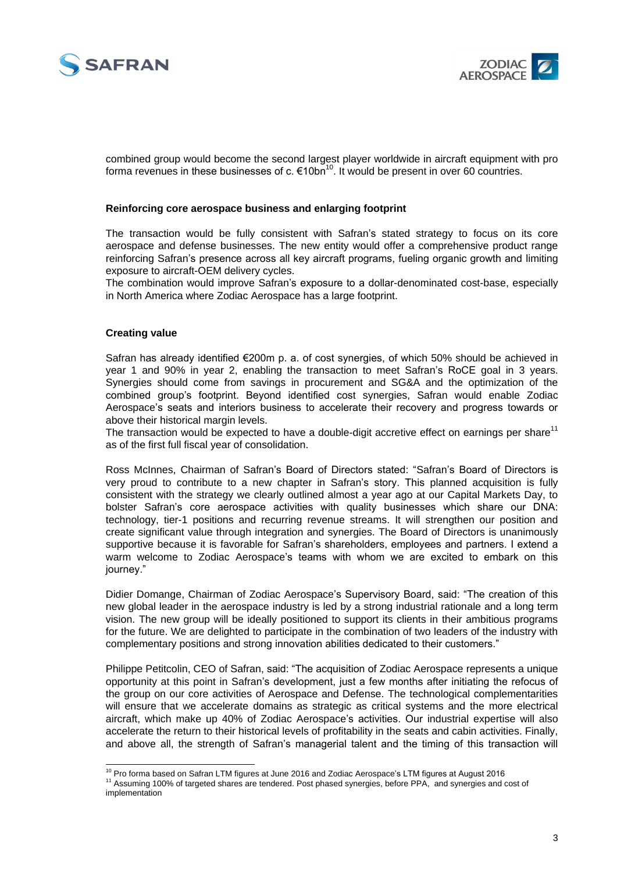



combined group would become the second largest player worldwide in aircraft equipment with pro forma revenues in these businesses of c.  $\epsilon$ 10bn<sup>10</sup>. It would be present in over 60 countries.

#### **Reinforcing core aerospace business and enlarging footprint**

The transaction would be fully consistent with Safran's stated strategy to focus on its core aerospace and defense businesses. The new entity would offer a comprehensive product range reinforcing Safran's presence across all key aircraft programs, fueling organic growth and limiting exposure to aircraft-OEM delivery cycles.

The combination would improve Safran's exposure to a dollar-denominated cost-base, especially in North America where Zodiac Aerospace has a large footprint.

#### **Creating value**

Safran has already identified €200m p. a. of cost synergies, of which 50% should be achieved in year 1 and 90% in year 2, enabling the transaction to meet Safran's RoCE goal in 3 years. Synergies should come from savings in procurement and SG&A and the optimization of the combined group's footprint. Beyond identified cost synergies, Safran would enable Zodiac Aerospace's seats and interiors business to accelerate their recovery and progress towards or above their historical margin levels.

The transaction would be expected to have a double-digit accretive effect on earnings per share<sup>11</sup> as of the first full fiscal year of consolidation.

Ross McInnes, Chairman of Safran's Board of Directors stated: "Safran's Board of Directors is very proud to contribute to a new chapter in Safran's story. This planned acquisition is fully consistent with the strategy we clearly outlined almost a year ago at our Capital Markets Day, to bolster Safran's core aerospace activities with quality businesses which share our DNA: technology, tier-1 positions and recurring revenue streams. It will strengthen our position and create significant value through integration and synergies. The Board of Directors is unanimously supportive because it is favorable for Safran's shareholders, employees and partners. I extend a warm welcome to Zodiac Aerospace's teams with whom we are excited to embark on this journey."

Didier Domange, Chairman of Zodiac Aerospace's Supervisory Board, said: "The creation of this new global leader in the aerospace industry is led by a strong industrial rationale and a long term vision. The new group will be ideally positioned to support its clients in their ambitious programs for the future. We are delighted to participate in the combination of two leaders of the industry with complementary positions and strong innovation abilities dedicated to their customers."

Philippe Petitcolin, CEO of Safran, said: "The acquisition of Zodiac Aerospace represents a unique opportunity at this point in Safran's development, just a few months after initiating the refocus of the group on our core activities of Aerospace and Defense. The technological complementarities will ensure that we accelerate domains as strategic as critical systems and the more electrical aircraft, which make up 40% of Zodiac Aerospace's activities. Our industrial expertise will also accelerate the return to their historical levels of profitability in the seats and cabin activities. Finally, and above all, the strength of Safran's managerial talent and the timing of this transaction will

<sup>-</sup> $10$  Pro forma based on Safran LTM figures at June 2016 and Zodiac Aerospace's LTM figures at August 2016

<sup>11</sup> Assuming 100% of targeted shares are tendered. Post phased synergies, before PPA, and synergies and cost of implementation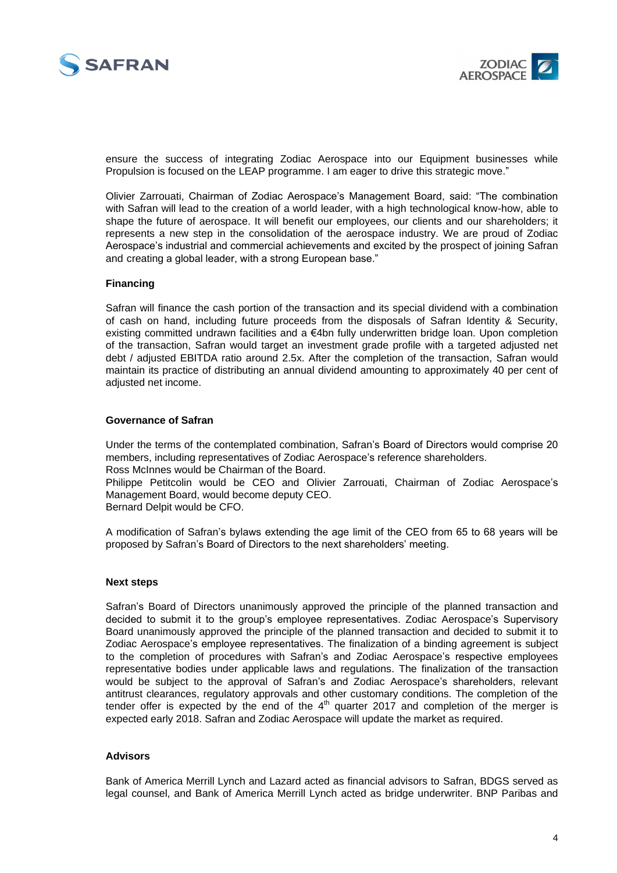



ensure the success of integrating Zodiac Aerospace into our Equipment businesses while Propulsion is focused on the LEAP programme. I am eager to drive this strategic move."

Olivier Zarrouati, Chairman of Zodiac Aerospace's Management Board, said: "The combination with Safran will lead to the creation of a world leader, with a high technological know-how, able to shape the future of aerospace. It will benefit our employees, our clients and our shareholders; it represents a new step in the consolidation of the aerospace industry. We are proud of Zodiac Aerospace's industrial and commercial achievements and excited by the prospect of joining Safran and creating a global leader, with a strong European base."

#### **Financing**

Safran will finance the cash portion of the transaction and its special dividend with a combination of cash on hand, including future proceeds from the disposals of Safran Identity & Security, existing committed undrawn facilities and a €4bn fully underwritten bridge loan. Upon completion of the transaction, Safran would target an investment grade profile with a targeted adjusted net debt / adjusted EBITDA ratio around 2.5x. After the completion of the transaction, Safran would maintain its practice of distributing an annual dividend amounting to approximately 40 per cent of adjusted net income.

#### **Governance of Safran**

Under the terms of the contemplated combination, Safran's Board of Directors would comprise 20 members, including representatives of Zodiac Aerospace's reference shareholders. Ross McInnes would be Chairman of the Board. Philippe Petitcolin would be CEO and Olivier Zarrouati, Chairman of Zodiac Aerospace's Management Board, would become deputy CEO. Bernard Delpit would be CFO.

A modification of Safran's bylaws extending the age limit of the CEO from 65 to 68 years will be proposed by Safran's Board of Directors to the next shareholders' meeting.

#### **Next steps**

Safran's Board of Directors unanimously approved the principle of the planned transaction and decided to submit it to the group's employee representatives. Zodiac Aerospace's Supervisory Board unanimously approved the principle of the planned transaction and decided to submit it to Zodiac Aerospace's employee representatives. The finalization of a binding agreement is subject to the completion of procedures with Safran's and Zodiac Aerospace's respective employees representative bodies under applicable laws and regulations. The finalization of the transaction would be subject to the approval of Safran's and Zodiac Aerospace's shareholders, relevant antitrust clearances, regulatory approvals and other customary conditions. The completion of the tender offer is expected by the end of the  $4<sup>th</sup>$  quarter 2017 and completion of the merger is expected early 2018. Safran and Zodiac Aerospace will update the market as required.

#### **Advisors**

Bank of America Merrill Lynch and Lazard acted as financial advisors to Safran, BDGS served as legal counsel, and Bank of America Merrill Lynch acted as bridge underwriter. BNP Paribas and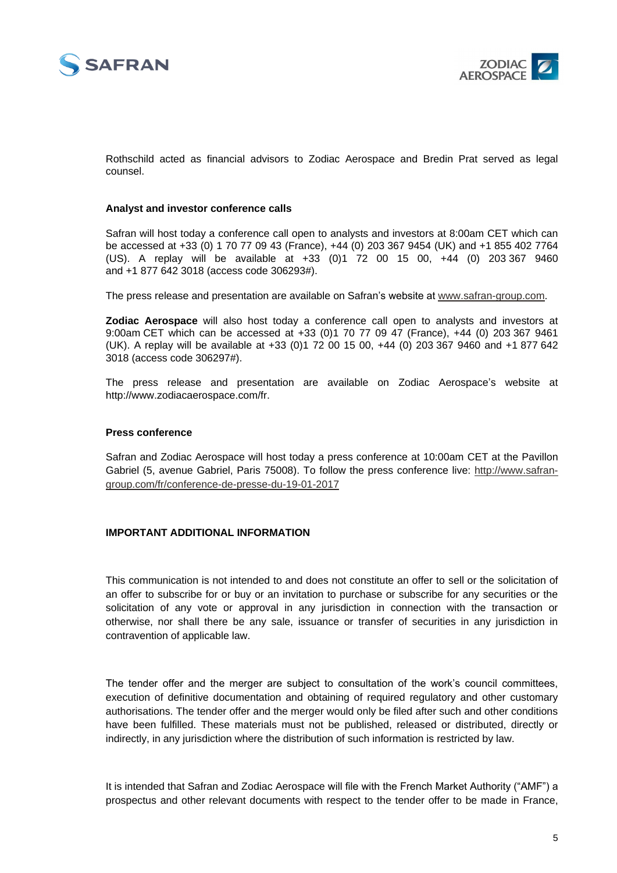



Rothschild acted as financial advisors to Zodiac Aerospace and Bredin Prat served as legal counsel.

#### **Analyst and investor conference calls**

Safran will host today a conference call open to analysts and investors at 8:00am CET which can be accessed at +33 (0) 1 70 77 09 43 (France), +44 (0) 203 367 9454 (UK) and +1 855 402 7764 (US). A replay will be available at +33 (0)1 72 00 15 00, +44 (0) 203 367 9460 and +1 877 642 3018 (access code 306293#).

The press release and presentation are available on Safran's website at [www.safran-group.com.](http://www.safran-group.com/)

**Zodiac Aerospace** will also host today a conference call open to analysts and investors at 9:00am CET which can be accessed at +33 (0)1 70 77 09 47 (France), +44 (0) 203 367 9461 (UK). A replay will be available at +33 (0)1 72 00 15 00, +44 (0) 203 367 9460 and +1 877 642 3018 (access code 306297#).

The press release and presentation are available on Zodiac Aerospace's website at http://www.zodiacaerospace.com/fr.

#### **Press conference**

Safran and Zodiac Aerospace will host today a press conference at 10:00am CET at the Pavillon Gabriel (5, avenue Gabriel, Paris 75008). To follow the press conference live: [http://www.safran](http://www.safran-group.com/fr/conference-de-presse-du-19-01-2017)[group.com/fr/conference-de-presse-du-19-01-2017](http://www.safran-group.com/fr/conference-de-presse-du-19-01-2017)

#### **IMPORTANT ADDITIONAL INFORMATION**

This communication is not intended to and does not constitute an offer to sell or the solicitation of an offer to subscribe for or buy or an invitation to purchase or subscribe for any securities or the solicitation of any vote or approval in any jurisdiction in connection with the transaction or otherwise, nor shall there be any sale, issuance or transfer of securities in any jurisdiction in contravention of applicable law.

The tender offer and the merger are subject to consultation of the work's council committees, execution of definitive documentation and obtaining of required regulatory and other customary authorisations. The tender offer and the merger would only be filed after such and other conditions have been fulfilled. These materials must not be published, released or distributed, directly or indirectly, in any jurisdiction where the distribution of such information is restricted by law.

It is intended that Safran and Zodiac Aerospace will file with the French Market Authority ("AMF") a prospectus and other relevant documents with respect to the tender offer to be made in France,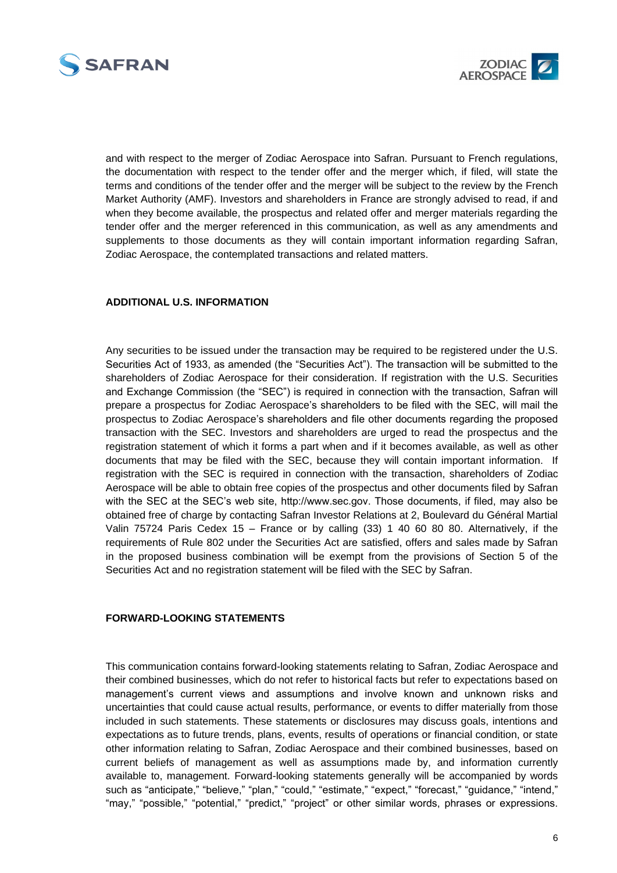



and with respect to the merger of Zodiac Aerospace into Safran. Pursuant to French regulations, the documentation with respect to the tender offer and the merger which, if filed, will state the terms and conditions of the tender offer and the merger will be subject to the review by the French Market Authority (AMF). Investors and shareholders in France are strongly advised to read, if and when they become available, the prospectus and related offer and merger materials regarding the tender offer and the merger referenced in this communication, as well as any amendments and supplements to those documents as they will contain important information regarding Safran, Zodiac Aerospace, the contemplated transactions and related matters.

#### **ADDITIONAL U.S. INFORMATION**

Any securities to be issued under the transaction may be required to be registered under the U.S. Securities Act of 1933, as amended (the "Securities Act"). The transaction will be submitted to the shareholders of Zodiac Aerospace for their consideration. If registration with the U.S. Securities and Exchange Commission (the "SEC") is required in connection with the transaction, Safran will prepare a prospectus for Zodiac Aerospace's shareholders to be filed with the SEC, will mail the prospectus to Zodiac Aerospace's shareholders and file other documents regarding the proposed transaction with the SEC. Investors and shareholders are urged to read the prospectus and the registration statement of which it forms a part when and if it becomes available, as well as other documents that may be filed with the SEC, because they will contain important information. If registration with the SEC is required in connection with the transaction, shareholders of Zodiac Aerospace will be able to obtain free copies of the prospectus and other documents filed by Safran with the SEC at the SEC's web site, http://www.sec.gov. Those documents, if filed, may also be obtained free of charge by contacting Safran Investor Relations at 2, Boulevard du Général Martial Valin 75724 Paris Cedex 15 – France or by calling (33) 1 40 60 80 80. Alternatively, if the requirements of Rule 802 under the Securities Act are satisfied, offers and sales made by Safran in the proposed business combination will be exempt from the provisions of Section 5 of the Securities Act and no registration statement will be filed with the SEC by Safran.

#### **FORWARD-LOOKING STATEMENTS**

This communication contains forward-looking statements relating to Safran, Zodiac Aerospace and their combined businesses, which do not refer to historical facts but refer to expectations based on management's current views and assumptions and involve known and unknown risks and uncertainties that could cause actual results, performance, or events to differ materially from those included in such statements. These statements or disclosures may discuss goals, intentions and expectations as to future trends, plans, events, results of operations or financial condition, or state other information relating to Safran, Zodiac Aerospace and their combined businesses, based on current beliefs of management as well as assumptions made by, and information currently available to, management. Forward-looking statements generally will be accompanied by words such as "anticipate," "believe," "plan," "could," "estimate," "expect," "forecast," "guidance," "intend," "may," "possible," "potential," "predict," "project" or other similar words, phrases or expressions.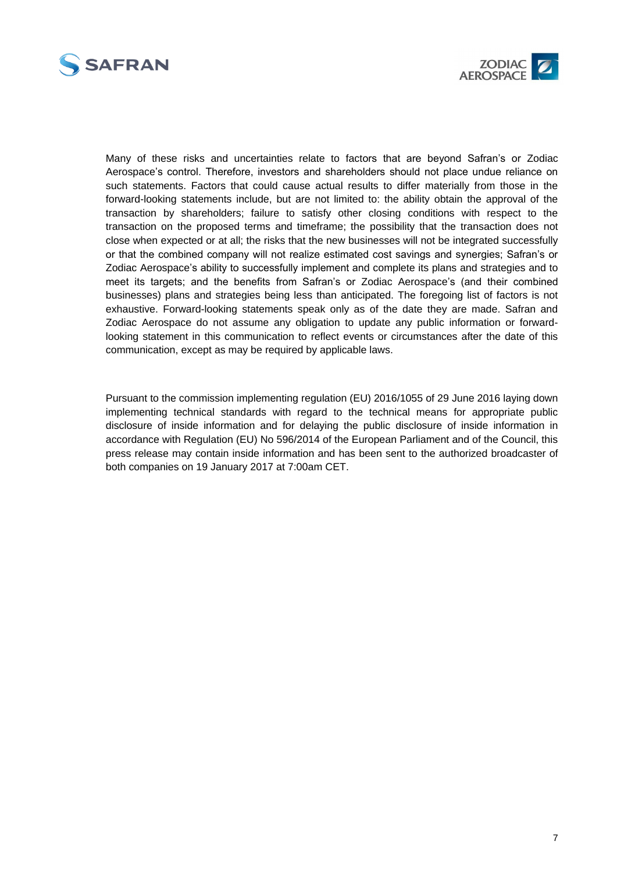



Many of these risks and uncertainties relate to factors that are beyond Safran's or Zodiac Aerospace's control. Therefore, investors and shareholders should not place undue reliance on such statements. Factors that could cause actual results to differ materially from those in the forward-looking statements include, but are not limited to: the ability obtain the approval of the transaction by shareholders; failure to satisfy other closing conditions with respect to the transaction on the proposed terms and timeframe; the possibility that the transaction does not close when expected or at all; the risks that the new businesses will not be integrated successfully or that the combined company will not realize estimated cost savings and synergies; Safran's or Zodiac Aerospace's ability to successfully implement and complete its plans and strategies and to meet its targets; and the benefits from Safran's or Zodiac Aerospace's (and their combined businesses) plans and strategies being less than anticipated. The foregoing list of factors is not exhaustive. Forward-looking statements speak only as of the date they are made. Safran and Zodiac Aerospace do not assume any obligation to update any public information or forwardlooking statement in this communication to reflect events or circumstances after the date of this communication, except as may be required by applicable laws.

Pursuant to the commission implementing regulation (EU) 2016/1055 of 29 June 2016 laying down implementing technical standards with regard to the technical means for appropriate public disclosure of inside information and for delaying the public disclosure of inside information in accordance with Regulation (EU) No 596/2014 of the European Parliament and of the Council, this press release may contain inside information and has been sent to the authorized broadcaster of both companies on 19 January 2017 at 7:00am CET.